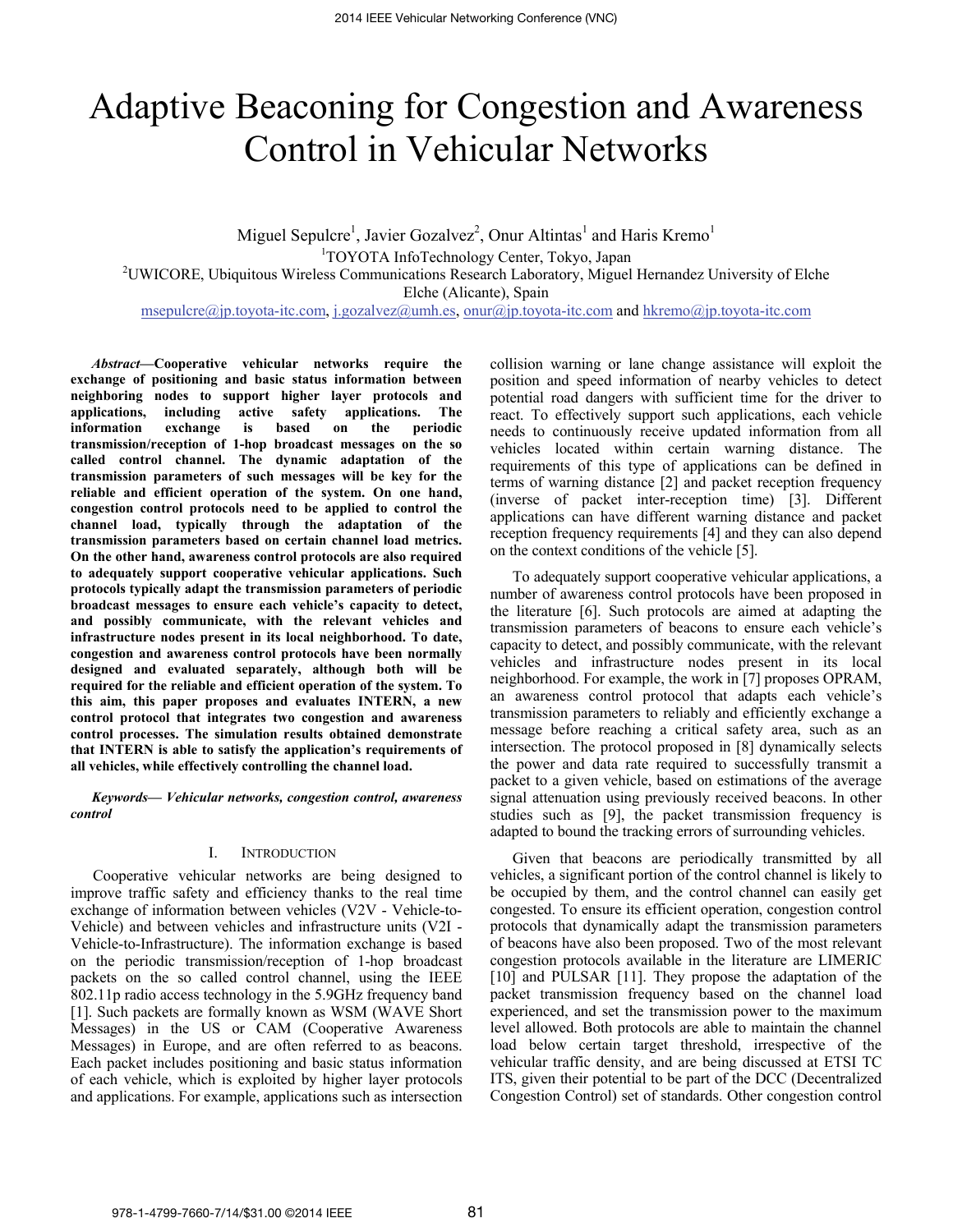# Adaptive Beaconing for Congestion and Awareness Control in Vehicular Networks

Miguel Sepulcre<sup>1</sup>, Javier Gozalvez<sup>2</sup>, Onur Altintas<sup>1</sup> and Haris Kremo<sup>1</sup> <sup>1</sup>TOYOTA InfoTechnology Center, Tokyo, Japan <sup>1</sup>TOYOTA InfoTechnology Center, Tokyo, Japan<br><sup>2</sup>UWICORE, Ubiquitous Wireless Communications Research Laboratory, Miguel Hernandez University of Elche Elche (Alicante), Spain msepulcre@jp.toyota-itc.com, j.gozalvez@umh.es, onur@jp.toyota-itc.com and hkremo@jp.toyota-itc.com

*Abstract***—Cooperative vehicular networks require the exchange of positioning and basic status information between neighboring nodes to support higher layer protocols and applications, including active safety applications. The information exchange is based on the periodic transmission/reception of 1-hop broadcast messages on the so called control channel. The dynamic adaptation of the transmission parameters of such messages will be key for the reliable and efficient operation of the system. On one hand, congestion control protocols need to be applied to control the channel load, typically through the adaptation of the transmission parameters based on certain channel load metrics. On the other hand, awareness control protocols are also required to adequately support cooperative vehicular applications. Such protocols typically adapt the transmission parameters of periodic broadcast messages to ensure each vehicle's capacity to detect, and possibly communicate, with the relevant vehicles and infrastructure nodes present in its local neighborhood. To date, congestion and awareness control protocols have been normally designed and evaluated separately, although both will be required for the reliable and efficient operation of the system. To this aim, this paper proposes and evaluates INTERN, a new control protocol that integrates two congestion and awareness control processes. The simulation results obtained demonstrate that INTERN is able to satisfy the application's requirements of all vehicles, while effectively controlling the channel load.** 

*Keywords— Vehicular networks, congestion control, awareness control* 

#### I. INTRODUCTION

Cooperative vehicular networks are being designed to improve traffic safety and efficiency thanks to the real time exchange of information between vehicles (V2V - Vehicle-to-Vehicle) and between vehicles and infrastructure units (V2I - Vehicle-to-Infrastructure). The information exchange is based on the periodic transmission/reception of 1-hop broadcast packets on the so called control channel, using the IEEE 802.11p radio access technology in the 5.9GHz frequency band [1]. Such packets are formally known as WSM (WAVE Short Messages) in the US or CAM (Cooperative Awareness Messages) in Europe, and are often referred to as beacons. Each packet includes positioning and basic status information of each vehicle, which is exploited by higher layer protocols and applications. For example, applications such as intersection

collision warning or lane change assistance will exploit the position and speed information of nearby vehicles to detect potential road dangers with sufficient time for the driver to react. To effectively support such applications, each vehicle needs to continuously receive updated information from all vehicles located within certain warning distance. The requirements of this type of applications can be defined in terms of warning distance [2] and packet reception frequency (inverse of packet inter-reception time) [3]. Different applications can have different warning distance and packet reception frequency requirements [4] and they can also depend on the context conditions of the vehicle [5].

To adequately support cooperative vehicular applications, a number of awareness control protocols have been proposed in the literature [6]. Such protocols are aimed at adapting the transmission parameters of beacons to ensure each vehicle's capacity to detect, and possibly communicate, with the relevant vehicles and infrastructure nodes present in its local neighborhood. For example, the work in [7] proposes OPRAM, an awareness control protocol that adapts each vehicle's transmission parameters to reliably and efficiently exchange a message before reaching a critical safety area, such as an intersection. The protocol proposed in [8] dynamically selects the power and data rate required to successfully transmit a packet to a given vehicle, based on estimations of the average signal attenuation using previously received beacons. In other studies such as [9], the packet transmission frequency is adapted to bound the tracking errors of surrounding vehicles.

Given that beacons are periodically transmitted by all vehicles, a significant portion of the control channel is likely to be occupied by them, and the control channel can easily get congested. To ensure its efficient operation, congestion control protocols that dynamically adapt the transmission parameters of beacons have also been proposed. Two of the most relevant congestion protocols available in the literature are LIMERIC [10] and PULSAR [11]. They propose the adaptation of the packet transmission frequency based on the channel load experienced, and set the transmission power to the maximum level allowed. Both protocols are able to maintain the channel load below certain target threshold, irrespective of the vehicular traffic density, and are being discussed at ETSI TC ITS, given their potential to be part of the DCC (Decentralized Congestion Control) set of standards. Other congestion control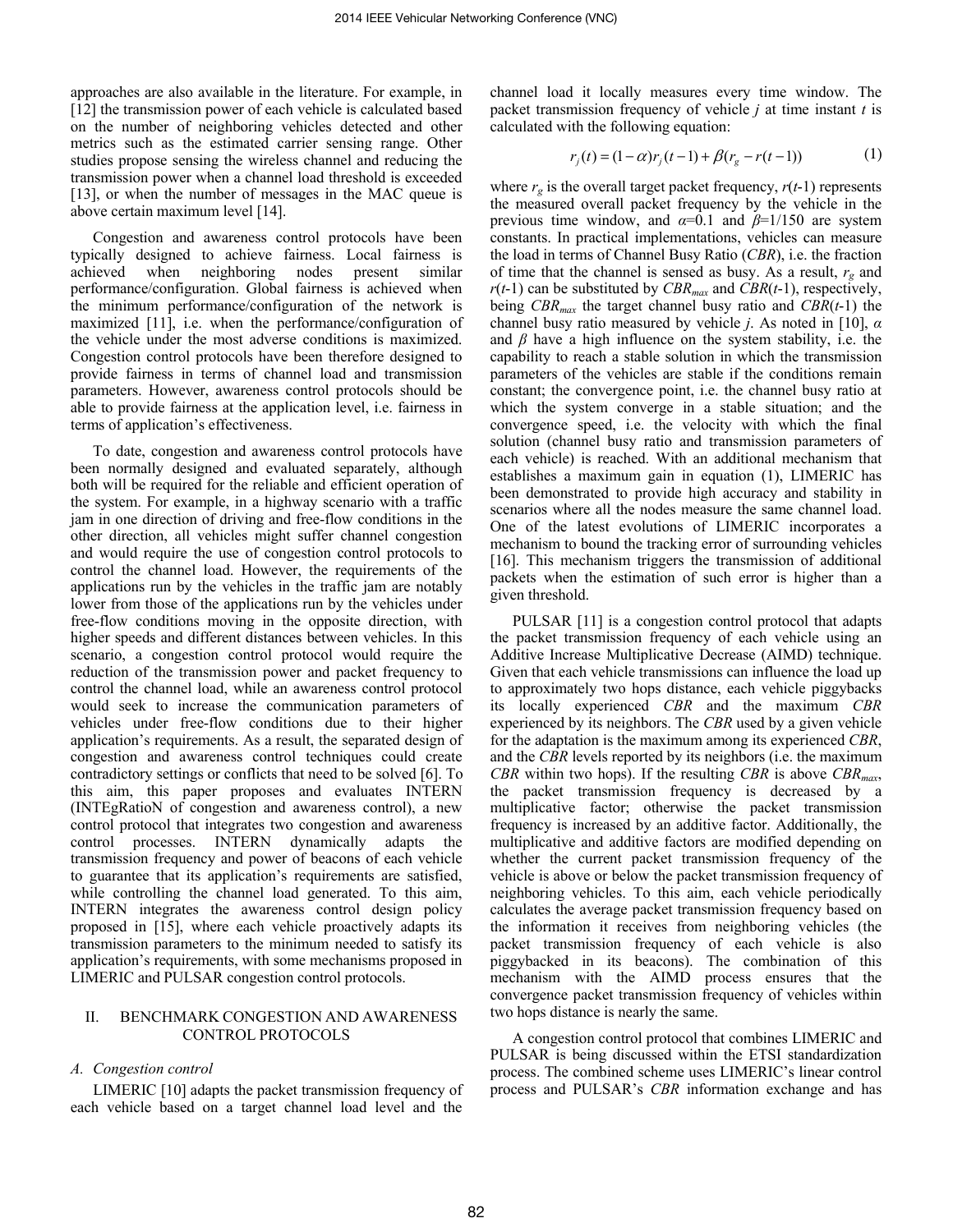approaches are also available in the literature. For example, in [12] the transmission power of each vehicle is calculated based on the number of neighboring vehicles detected and other metrics such as the estimated carrier sensing range. Other studies propose sensing the wireless channel and reducing the transmission power when a channel load threshold is exceeded [13], or when the number of messages in the MAC queue is above certain maximum level [14].

Congestion and awareness control protocols have been typically designed to achieve fairness. Local fairness is achieved when neighboring nodes present similar performance/configuration. Global fairness is achieved when the minimum performance/configuration of the network is maximized [11], i.e. when the performance/configuration of the vehicle under the most adverse conditions is maximized. Congestion control protocols have been therefore designed to provide fairness in terms of channel load and transmission parameters. However, awareness control protocols should be able to provide fairness at the application level, i.e. fairness in terms of application's effectiveness.

To date, congestion and awareness control protocols have been normally designed and evaluated separately, although both will be required for the reliable and efficient operation of the system. For example, in a highway scenario with a traffic jam in one direction of driving and free-flow conditions in the other direction, all vehicles might suffer channel congestion and would require the use of congestion control protocols to control the channel load. However, the requirements of the applications run by the vehicles in the traffic jam are notably lower from those of the applications run by the vehicles under free-flow conditions moving in the opposite direction, with higher speeds and different distances between vehicles. In this scenario, a congestion control protocol would require the reduction of the transmission power and packet frequency to control the channel load, while an awareness control protocol would seek to increase the communication parameters of vehicles under free-flow conditions due to their higher application's requirements. As a result, the separated design of congestion and awareness control techniques could create contradictory settings or conflicts that need to be solved [6]. To this aim, this paper proposes and evaluates INTERN (INTEgRatioN of congestion and awareness control), a new control protocol that integrates two congestion and awareness control processes. INTERN dynamically adapts the transmission frequency and power of beacons of each vehicle to guarantee that its application's requirements are satisfied, while controlling the channel load generated. To this aim, INTERN integrates the awareness control design policy proposed in [15], where each vehicle proactively adapts its transmission parameters to the minimum needed to satisfy its application's requirements, with some mechanisms proposed in LIMERIC and PULSAR congestion control protocols.

## II. BENCHMARK CONGESTION AND AWARENESS CONTROL PROTOCOLS

#### *A. Congestion control*

LIMERIC [10] adapts the packet transmission frequency of each vehicle based on a target channel load level and the

channel load it locally measures every time window. The packet transmission frequency of vehicle *j* at time instant *t* is calculated with the following equation:

$$
r_{j}(t) = (1 - \alpha)r_{j}(t - 1) + \beta(r_{g} - r(t - 1))
$$
\n(1)

where  $r_g$  is the overall target packet frequency,  $r(t-1)$  represents the measured overall packet frequency by the vehicle in the previous time window, and  $\alpha=0.1$  and  $\beta=1/150$  are system constants. In practical implementations, vehicles can measure the load in terms of Channel Busy Ratio (*CBR*), i.e. the fraction of time that the channel is sensed as busy. As a result,  $r_g$  and  $r(t-1)$  can be substituted by  $CBR_{max}$  and  $CBR(t-1)$ , respectively, being *CBRmax* the target channel busy ratio and *CBR*(*t*-1) the channel busy ratio measured by vehicle *j*. As noted in [10],  $\alpha$ and  $\beta$  have a high influence on the system stability, i.e. the capability to reach a stable solution in which the transmission parameters of the vehicles are stable if the conditions remain constant; the convergence point, i.e. the channel busy ratio at which the system converge in a stable situation; and the convergence speed, i.e. the velocity with which the final solution (channel busy ratio and transmission parameters of each vehicle) is reached. With an additional mechanism that establishes a maximum gain in equation (1), LIMERIC has been demonstrated to provide high accuracy and stability in scenarios where all the nodes measure the same channel load. One of the latest evolutions of LIMERIC incorporates a mechanism to bound the tracking error of surrounding vehicles [16]. This mechanism triggers the transmission of additional packets when the estimation of such error is higher than a given threshold.

PULSAR [11] is a congestion control protocol that adapts the packet transmission frequency of each vehicle using an Additive Increase Multiplicative Decrease (AIMD) technique. Given that each vehicle transmissions can influence the load up to approximately two hops distance, each vehicle piggybacks its locally experienced *CBR* and the maximum *CBR* experienced by its neighbors. The *CBR* used by a given vehicle for the adaptation is the maximum among its experienced *CBR*, and the *CBR* levels reported by its neighbors (i.e. the maximum *CBR* within two hops). If the resulting *CBR* is above *CBRmax*, the packet transmission frequency is decreased by a multiplicative factor; otherwise the packet transmission frequency is increased by an additive factor. Additionally, the multiplicative and additive factors are modified depending on whether the current packet transmission frequency of the vehicle is above or below the packet transmission frequency of neighboring vehicles. To this aim, each vehicle periodically calculates the average packet transmission frequency based on the information it receives from neighboring vehicles (the packet transmission frequency of each vehicle is also piggybacked in its beacons). The combination of this mechanism with the AIMD process ensures that the convergence packet transmission frequency of vehicles within two hops distance is nearly the same.

A congestion control protocol that combines LIMERIC and PULSAR is being discussed within the ETSI standardization process. The combined scheme uses LIMERIC's linear control process and PULSAR's *CBR* information exchange and has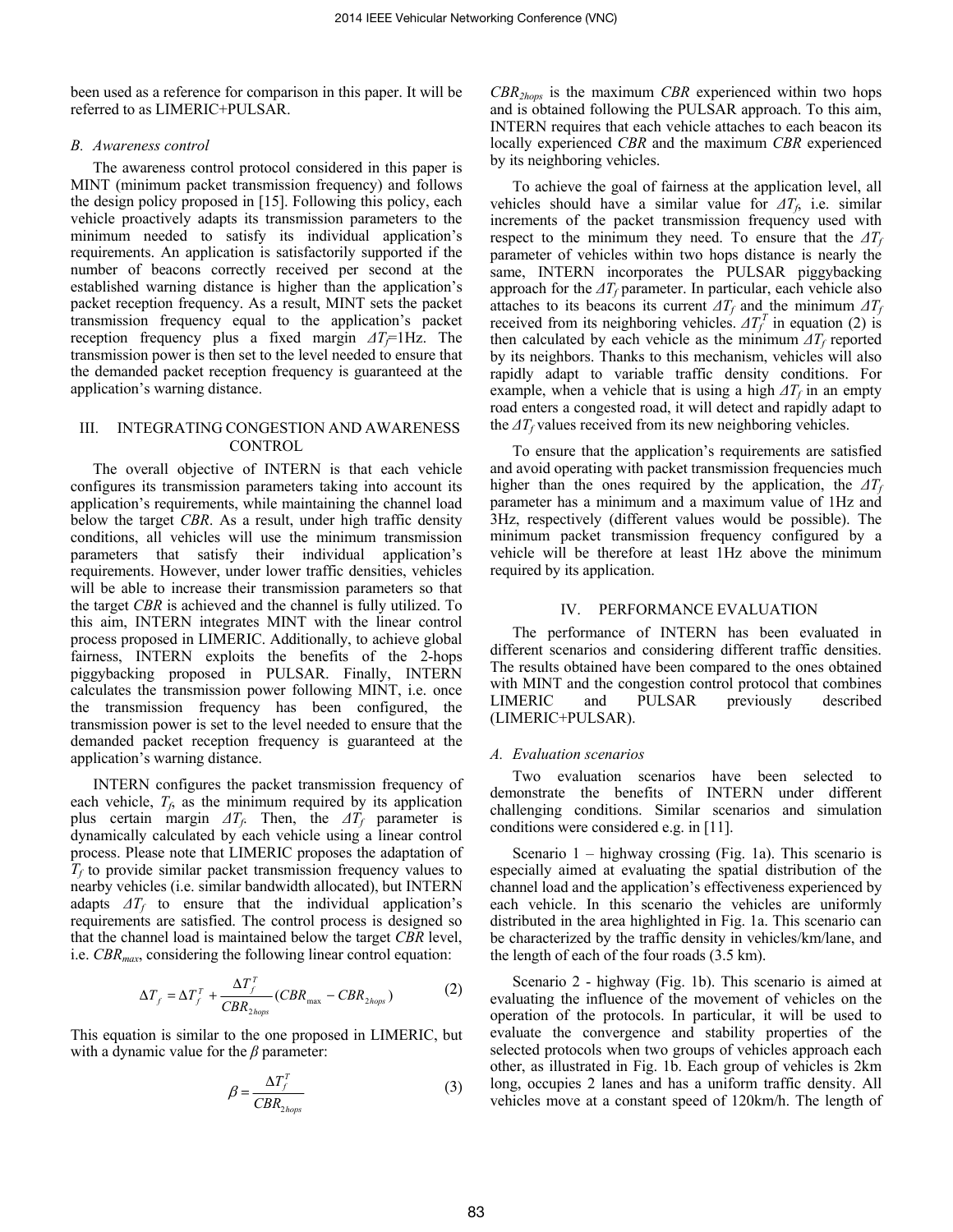been used as a reference for comparison in this paper. It will be referred to as LIMERIC+PULSAR.

## *B. Awareness control*

The awareness control protocol considered in this paper is MINT (minimum packet transmission frequency) and follows the design policy proposed in [15]. Following this policy, each vehicle proactively adapts its transmission parameters to the minimum needed to satisfy its individual application's requirements. An application is satisfactorily supported if the number of beacons correctly received per second at the established warning distance is higher than the application's packet reception frequency. As a result, MINT sets the packet transmission frequency equal to the application's packet reception frequency plus a fixed margin  $\Delta T_f$ =1Hz. The transmission power is then set to the level needed to ensure that the demanded packet reception frequency is guaranteed at the application's warning distance.

# III. INTEGRATING CONGESTION AND AWARENESS CONTROL

The overall objective of INTERN is that each vehicle configures its transmission parameters taking into account its application's requirements, while maintaining the channel load below the target *CBR*. As a result, under high traffic density conditions, all vehicles will use the minimum transmission parameters that satisfy their individual application's requirements. However, under lower traffic densities, vehicles will be able to increase their transmission parameters so that the target *CBR* is achieved and the channel is fully utilized. To this aim, INTERN integrates MINT with the linear control process proposed in LIMERIC. Additionally, to achieve global fairness, INTERN exploits the benefits of the 2-hops piggybacking proposed in PULSAR. Finally, INTERN calculates the transmission power following MINT, i.e. once the transmission frequency has been configured, the transmission power is set to the level needed to ensure that the demanded packet reception frequency is guaranteed at the application's warning distance.

INTERN configures the packet transmission frequency of each vehicle,  $T_f$ , as the minimum required by its application plus certain margin  $\Delta T_f$ . Then, the  $\Delta T_f$  parameter is dynamically calculated by each vehicle using a linear control process. Please note that LIMERIC proposes the adaptation of  $T_f$  to provide similar packet transmission frequency values to nearby vehicles (i.e. similar bandwidth allocated), but INTERN adapts  $\Delta T_f$  to ensure that the individual application's requirements are satisfied. The control process is designed so that the channel load is maintained below the target *CBR* level, i.e. *CBRmax*, considering the following linear control equation:

$$
\Delta T_f = \Delta T_f^T + \frac{\Delta T_f^T}{CBR_{2hops}} (CBR_{\text{max}} - CBR_{2hops})
$$
 (2)

This equation is similar to the one proposed in LIMERIC, but with a dynamic value for the  $\beta$  parameter:

$$
\beta = \frac{\Delta T_f^T}{CBR_{2hops}}\tag{3}
$$

*CBR2hops* is the maximum *CBR* experienced within two hops and is obtained following the PULSAR approach. To this aim, INTERN requires that each vehicle attaches to each beacon its locally experienced *CBR* and the maximum *CBR* experienced by its neighboring vehicles.

To achieve the goal of fairness at the application level, all vehicles should have a similar value for  $\Delta T_f$ , i.e. similar increments of the packet transmission frequency used with respect to the minimum they need. To ensure that the  $\Delta T_f$ parameter of vehicles within two hops distance is nearly the same, INTERN incorporates the PULSAR piggybacking approach for the  $\Delta T_f$  parameter. In particular, each vehicle also attaches to its beacons its current  $\Delta T_f$  and the minimum  $\Delta T_f$ received from its neighboring vehicles.  $\Delta T_f^T$  in equation (2) is then calculated by each vehicle as the minimum  $\Delta T_f$  reported by its neighbors. Thanks to this mechanism, vehicles will also rapidly adapt to variable traffic density conditions. For example, when a vehicle that is using a high  $\Delta T_f$  in an empty road enters a congested road, it will detect and rapidly adapt to the  $\Delta T_f$  values received from its new neighboring vehicles.

To ensure that the application's requirements are satisfied and avoid operating with packet transmission frequencies much higher than the ones required by the application, the  $\Delta T_f$ parameter has a minimum and a maximum value of 1Hz and 3Hz, respectively (different values would be possible). The minimum packet transmission frequency configured by a vehicle will be therefore at least 1Hz above the minimum required by its application.

## IV. PERFORMANCE EVALUATION

The performance of INTERN has been evaluated in different scenarios and considering different traffic densities. The results obtained have been compared to the ones obtained with MINT and the congestion control protocol that combines LIMERIC and PULSAR previously described (LIMERIC+PULSAR).

#### *A. Evaluation scenarios*

Two evaluation scenarios have been selected to demonstrate the benefits of INTERN under different challenging conditions. Similar scenarios and simulation conditions were considered e.g. in [11].

Scenario 1 – highway crossing (Fig. 1a). This scenario is especially aimed at evaluating the spatial distribution of the channel load and the application's effectiveness experienced by each vehicle. In this scenario the vehicles are uniformly distributed in the area highlighted in Fig. 1a. This scenario can be characterized by the traffic density in vehicles/km/lane, and the length of each of the four roads (3.5 km).

Scenario 2 - highway (Fig. 1b). This scenario is aimed at evaluating the influence of the movement of vehicles on the operation of the protocols. In particular, it will be used to evaluate the convergence and stability properties of the selected protocols when two groups of vehicles approach each other, as illustrated in Fig. 1b. Each group of vehicles is 2km long, occupies 2 lanes and has a uniform traffic density. All vehicles move at a constant speed of 120km/h. The length of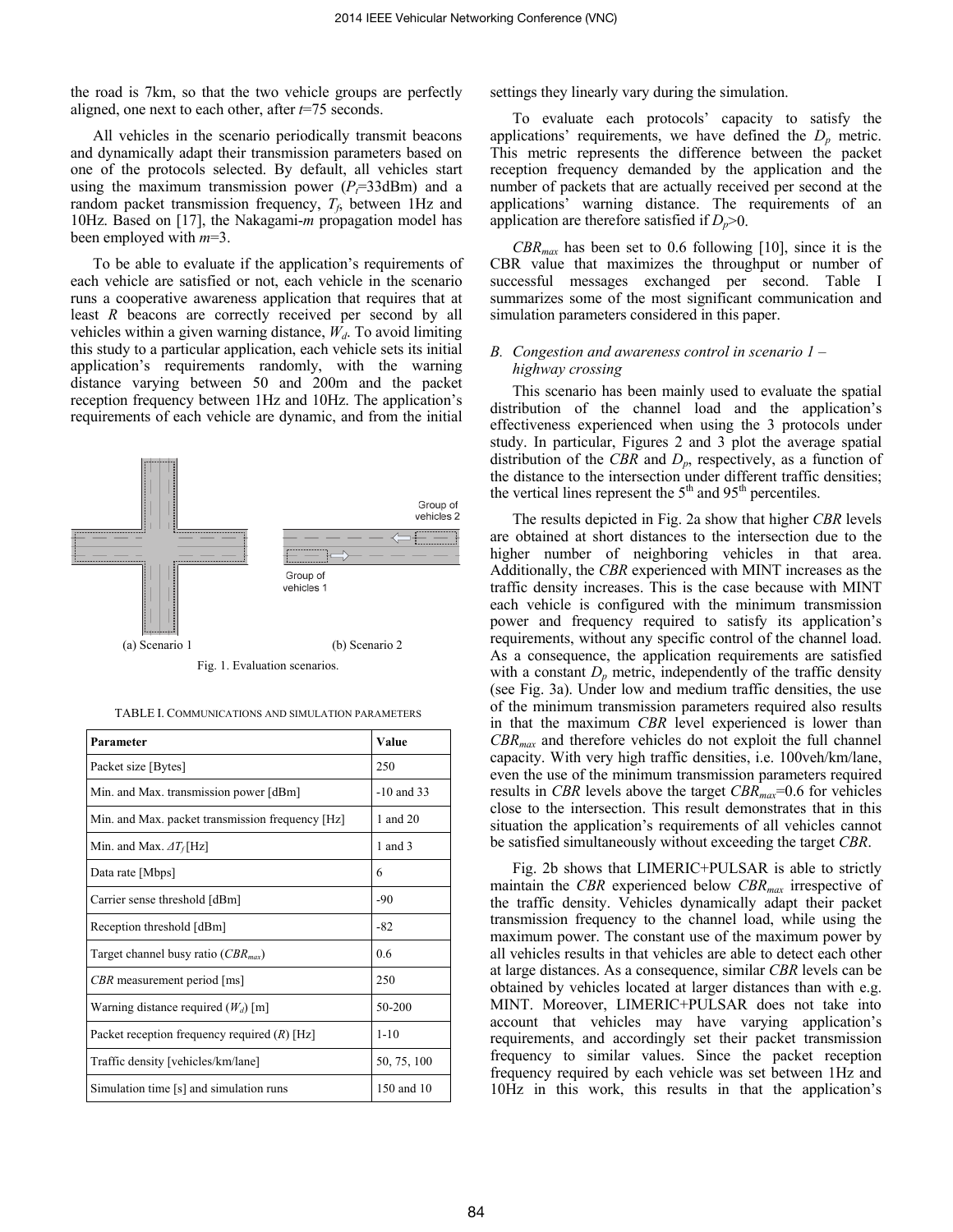the road is 7km, so that the two vehicle groups are perfectly aligned, one next to each other, after *t*=75 seconds.

All vehicles in the scenario periodically transmit beacons and dynamically adapt their transmission parameters based on one of the protocols selected. By default, all vehicles start using the maximum transmission power  $(P<sub>t</sub>=33dBm)$  and a random packet transmission frequency,  $T_f$ , between 1Hz and 10Hz. Based on [17], the Nakagami-*m* propagation model has been employed with *m*=3.

To be able to evaluate if the application's requirements of each vehicle are satisfied or not, each vehicle in the scenario runs a cooperative awareness application that requires that at least *R* beacons are correctly received per second by all vehicles within a given warning distance,  $W_d$ . To avoid limiting this study to a particular application, each vehicle sets its initial application's requirements randomly, with the warning distance varying between 50 and 200m and the packet reception frequency between 1Hz and 10Hz. The application's requirements of each vehicle are dynamic, and from the initial



TABLE I. COMMUNICATIONS AND SIMULATION PARAMETERS

| Parameter                                        | Value        |
|--------------------------------------------------|--------------|
| Packet size [Bytes]                              | 250          |
| Min. and Max. transmission power [dBm]           | $-10$ and 33 |
| Min. and Max. packet transmission frequency [Hz] | 1 and 20     |
| Min. and Max. $\Delta T_f$ [Hz]                  | 1 and $3$    |
| Data rate [Mbps]                                 | 6            |
| Carrier sense threshold [dBm]                    | $-90$        |
| Reception threshold [dBm]                        | $-82$        |
| Target channel busy ratio $(CBR_{max})$          | 0.6          |
| <i>CBR</i> measurement period [ms]               | 250          |
| Warning distance required $(W_d)$ [m]            | 50-200       |
| Packet reception frequency required $(R)$ [Hz]   | $1 - 10$     |
| Traffic density [vehicles/km/lane]               | 50, 75, 100  |
| Simulation time $[s]$ and simulation runs        | 150 and 10   |

settings they linearly vary during the simulation.

To evaluate each protocols' capacity to satisfy the applications' requirements, we have defined the  $D_p$  metric. This metric represents the difference between the packet reception frequency demanded by the application and the number of packets that are actually received per second at the applications' warning distance. The requirements of an application are therefore satisfied if  $D_p$ >0.

*CBRmax* has been set to 0.6 following [10], since it is the CBR value that maximizes the throughput or number of successful messages exchanged per second. Table I summarizes some of the most significant communication and simulation parameters considered in this paper.

## *B. Congestion and awareness control in scenario 1 – highway crossing*

This scenario has been mainly used to evaluate the spatial distribution of the channel load and the application's effectiveness experienced when using the 3 protocols under study. In particular, Figures 2 and 3 plot the average spatial distribution of the *CBR* and  $D_p$ , respectively, as a function of the distance to the intersection under different traffic densities; the vertical lines represent the  $5<sup>th</sup>$  and  $95<sup>th</sup>$  percentiles.

The results depicted in Fig. 2a show that higher *CBR* levels are obtained at short distances to the intersection due to the higher number of neighboring vehicles in that area. Additionally, the *CBR* experienced with MINT increases as the traffic density increases. This is the case because with MINT each vehicle is configured with the minimum transmission power and frequency required to satisfy its application's requirements, without any specific control of the channel load. As a consequence, the application requirements are satisfied with a constant  $D<sub>p</sub>$  metric, independently of the traffic density (see Fig. 3a). Under low and medium traffic densities, the use of the minimum transmission parameters required also results in that the maximum *CBR* level experienced is lower than *CBRmax* and therefore vehicles do not exploit the full channel capacity. With very high traffic densities, i.e. 100veh/km/lane, even the use of the minimum transmission parameters required results in *CBR* levels above the target *CBRmax*=0.6 for vehicles close to the intersection. This result demonstrates that in this situation the application's requirements of all vehicles cannot be satisfied simultaneously without exceeding the target *CBR*.

Fig. 2b shows that LIMERIC+PULSAR is able to strictly maintain the *CBR* experienced below *CBRmax* irrespective of the traffic density. Vehicles dynamically adapt their packet transmission frequency to the channel load, while using the maximum power. The constant use of the maximum power by all vehicles results in that vehicles are able to detect each other at large distances. As a consequence, similar *CBR* levels can be obtained by vehicles located at larger distances than with e.g. MINT. Moreover, LIMERIC+PULSAR does not take into account that vehicles may have varying application's requirements, and accordingly set their packet transmission frequency to similar values. Since the packet reception frequency required by each vehicle was set between 1Hz and 10Hz in this work, this results in that the application's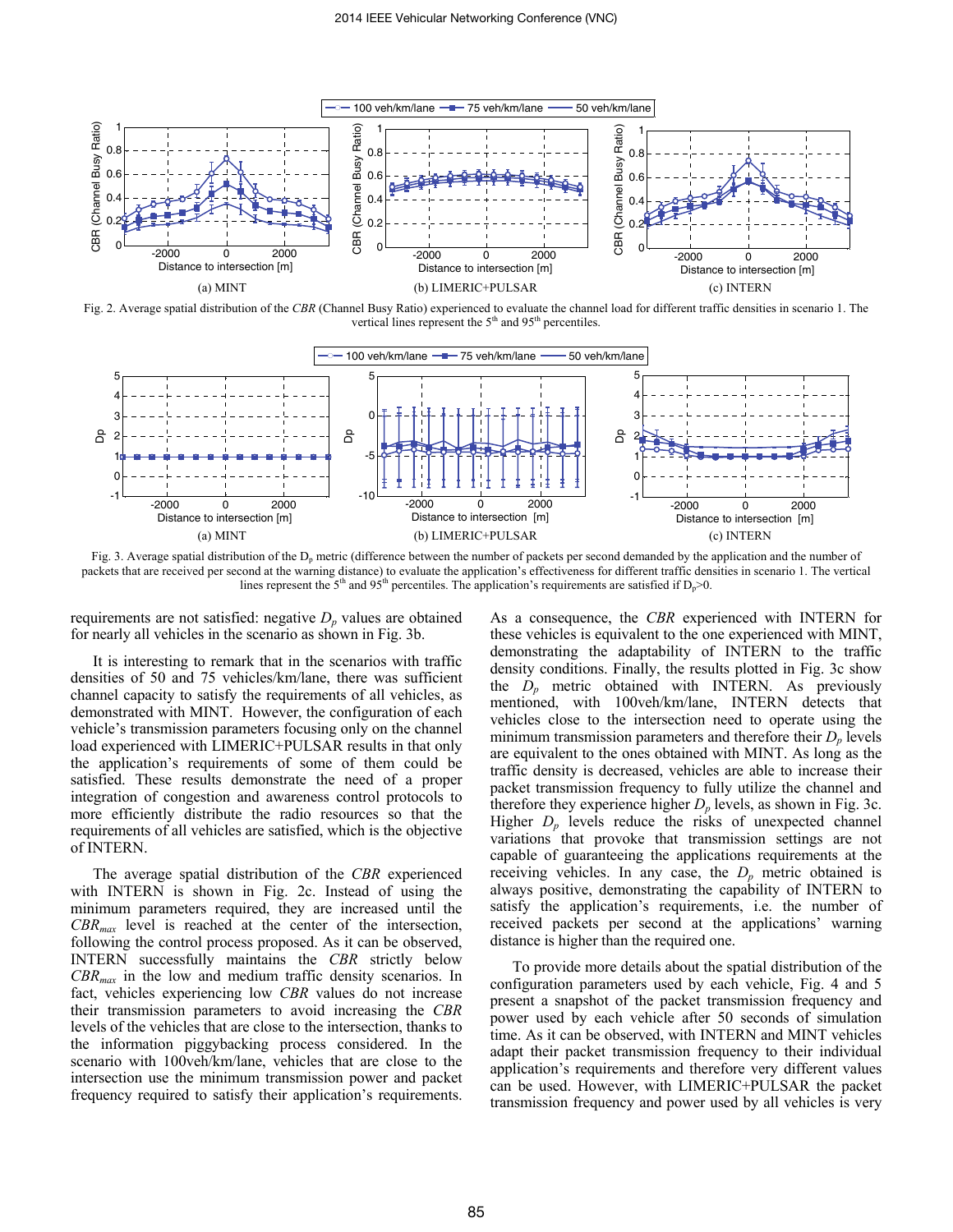

Fig. 2. Average spatial distribution of the *CBR* (Channel Busy Ratio) experienced to evaluate the channel load for different traffic densities in scenario 1. The vertical lines represent the  $5<sup>th</sup>$  and  $95<sup>th</sup>$  percentiles.



Fig. 3. Average spatial distribution of the  $D<sub>p</sub>$  metric (difference between the number of packets per second demanded by the application and the number of packets that are received per second at the warning distance) to evaluate the application's effectiveness for different traffic densities in scenario 1. The vertical lines represent the 5<sup>th</sup> and 95<sup>th</sup> percentiles. The application's requirements are satisfied if  $D_p > 0$ .

requirements are not satisfied: negative  $D<sub>n</sub>$  values are obtained for nearly all vehicles in the scenario as shown in Fig. 3b.

It is interesting to remark that in the scenarios with traffic densities of 50 and 75 vehicles/km/lane, there was sufficient channel capacity to satisfy the requirements of all vehicles, as demonstrated with MINT. However, the configuration of each vehicle's transmission parameters focusing only on the channel load experienced with LIMERIC+PULSAR results in that only the application's requirements of some of them could be satisfied. These results demonstrate the need of a proper integration of congestion and awareness control protocols to more efficiently distribute the radio resources so that the requirements of all vehicles are satisfied, which is the objective of INTERN.

The average spatial distribution of the *CBR* experienced with INTERN is shown in Fig. 2c. Instead of using the minimum parameters required, they are increased until the *CBRmax* level is reached at the center of the intersection, following the control process proposed. As it can be observed, INTERN successfully maintains the *CBR* strictly below *CBRmax* in the low and medium traffic density scenarios. In fact, vehicles experiencing low *CBR* values do not increase their transmission parameters to avoid increasing the *CBR* levels of the vehicles that are close to the intersection, thanks to the information piggybacking process considered. In the scenario with 100veh/km/lane, vehicles that are close to the intersection use the minimum transmission power and packet frequency required to satisfy their application's requirements.

As a consequence, the *CBR* experienced with INTERN for these vehicles is equivalent to the one experienced with MINT, demonstrating the adaptability of INTERN to the traffic density conditions. Finally, the results plotted in Fig. 3c show the *Dp* metric obtained with INTERN. As previously mentioned, with 100veh/km/lane, INTERN detects that vehicles close to the intersection need to operate using the minimum transmission parameters and therefore their  $D_p$  levels are equivalent to the ones obtained with MINT. As long as the traffic density is decreased, vehicles are able to increase their packet transmission frequency to fully utilize the channel and therefore they experience higher  $D_p$  levels, as shown in Fig. 3c. Higher  $D_p$  levels reduce the risks of unexpected channel variations that provoke that transmission settings are not capable of guaranteeing the applications requirements at the receiving vehicles. In any case, the  $D_p$  metric obtained is always positive, demonstrating the capability of INTERN to satisfy the application's requirements, i.e. the number of received packets per second at the applications' warning distance is higher than the required one.

To provide more details about the spatial distribution of the configuration parameters used by each vehicle, Fig. 4 and 5 present a snapshot of the packet transmission frequency and power used by each vehicle after 50 seconds of simulation time. As it can be observed, with INTERN and MINT vehicles adapt their packet transmission frequency to their individual application's requirements and therefore very different values can be used. However, with LIMERIC+PULSAR the packet transmission frequency and power used by all vehicles is very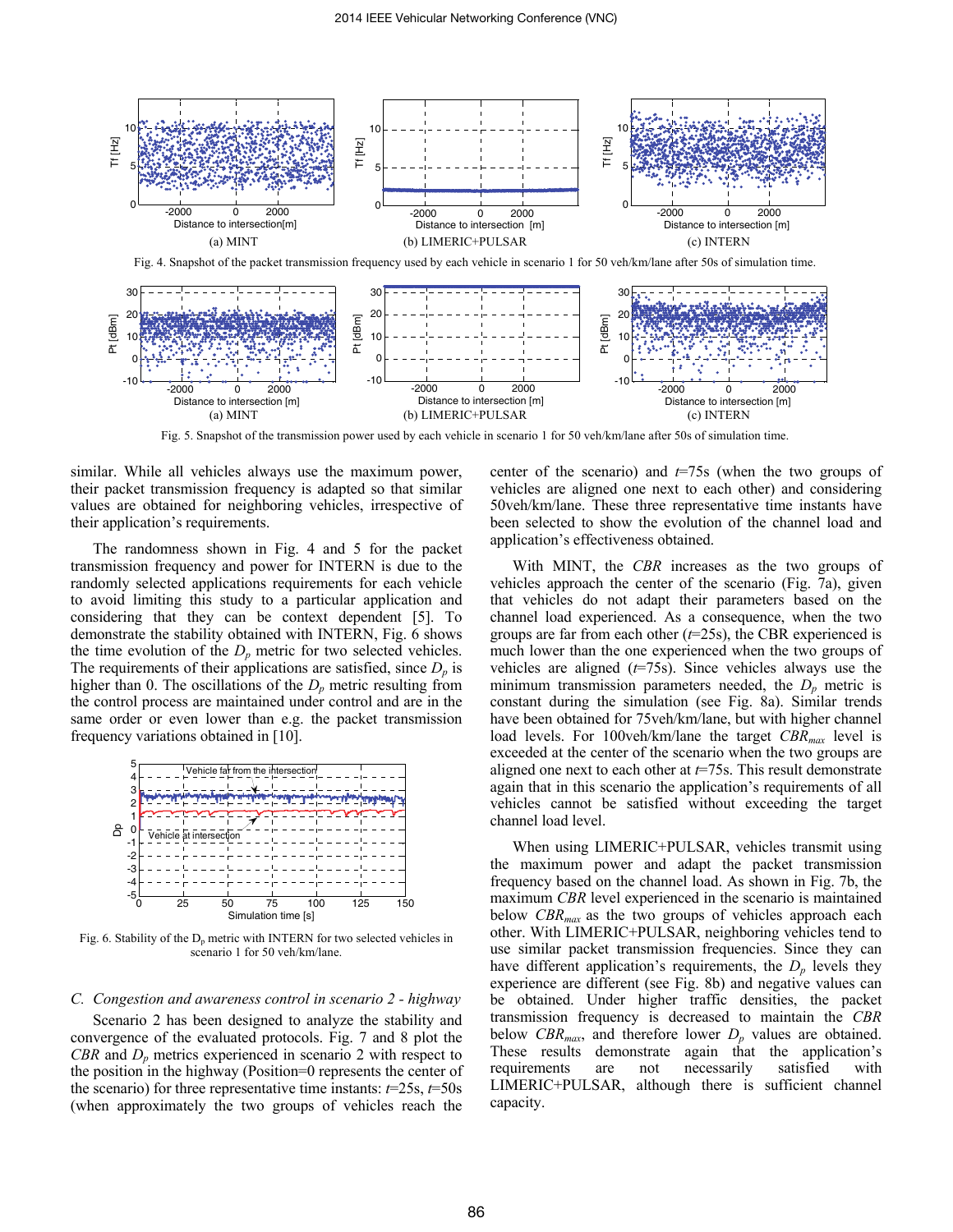

Fig. 5. Snapshot of the transmission power used by each vehicle in scenario 1 for 50 veh/km/lane after 50s of simulation time.

similar. While all vehicles always use the maximum power, their packet transmission frequency is adapted so that similar values are obtained for neighboring vehicles, irrespective of their application's requirements.

The randomness shown in Fig. 4 and 5 for the packet transmission frequency and power for INTERN is due to the randomly selected applications requirements for each vehicle to avoid limiting this study to a particular application and considering that they can be context dependent [5]. To demonstrate the stability obtained with INTERN, Fig. 6 shows the time evolution of the  $D<sub>p</sub>$  metric for two selected vehicles. The requirements of their applications are satisfied, since  $D_p$  is higher than 0. The oscillations of the  $D_p$  metric resulting from the control process are maintained under control and are in the same order or even lower than e.g. the packet transmission frequency variations obtained in [10].



Fig. 6. Stability of the  $D_p$  metric with INTERN for two selected vehicles in scenario 1 for 50 veh/km/lane.

## *C. Congestion and awareness control in scenario 2 - highway*

Scenario 2 has been designed to analyze the stability and convergence of the evaluated protocols. Fig. 7 and 8 plot the *CBR* and  $D_p$  metrics experienced in scenario 2 with respect to the position in the highway (Position=0 represents the center of the scenario) for three representative time instants:  $t=25s$ ,  $t=50s$ (when approximately the two groups of vehicles reach the center of the scenario) and *t*=75s (when the two groups of vehicles are aligned one next to each other) and considering 50veh/km/lane. These three representative time instants have been selected to show the evolution of the channel load and application's effectiveness obtained.

With MINT, the *CBR* increases as the two groups of vehicles approach the center of the scenario (Fig. 7a), given that vehicles do not adapt their parameters based on the channel load experienced. As a consequence, when the two groups are far from each other (*t*=25s), the CBR experienced is much lower than the one experienced when the two groups of vehicles are aligned (*t*=75s). Since vehicles always use the minimum transmission parameters needed, the  $D_p$  metric is constant during the simulation (see Fig. 8a). Similar trends have been obtained for 75veh/km/lane, but with higher channel load levels. For 100veh/km/lane the target *CBRmax* level is exceeded at the center of the scenario when the two groups are aligned one next to each other at *t*=75s. This result demonstrate again that in this scenario the application's requirements of all vehicles cannot be satisfied without exceeding the target channel load level.

When using LIMERIC+PULSAR, vehicles transmit using the maximum power and adapt the packet transmission frequency based on the channel load. As shown in Fig. 7b, the maximum *CBR* level experienced in the scenario is maintained below *CBRmax* as the two groups of vehicles approach each other. With LIMERIC+PULSAR, neighboring vehicles tend to use similar packet transmission frequencies. Since they can have different application's requirements, the  $D_p$  levels they experience are different (see Fig. 8b) and negative values can be obtained. Under higher traffic densities, the packet transmission frequency is decreased to maintain the *CBR* below  $CBR_{max}$ , and therefore lower  $D_p$  values are obtained. These results demonstrate again that the application's requirements are not necessarily satisfied with LIMERIC+PULSAR, although there is sufficient channel capacity.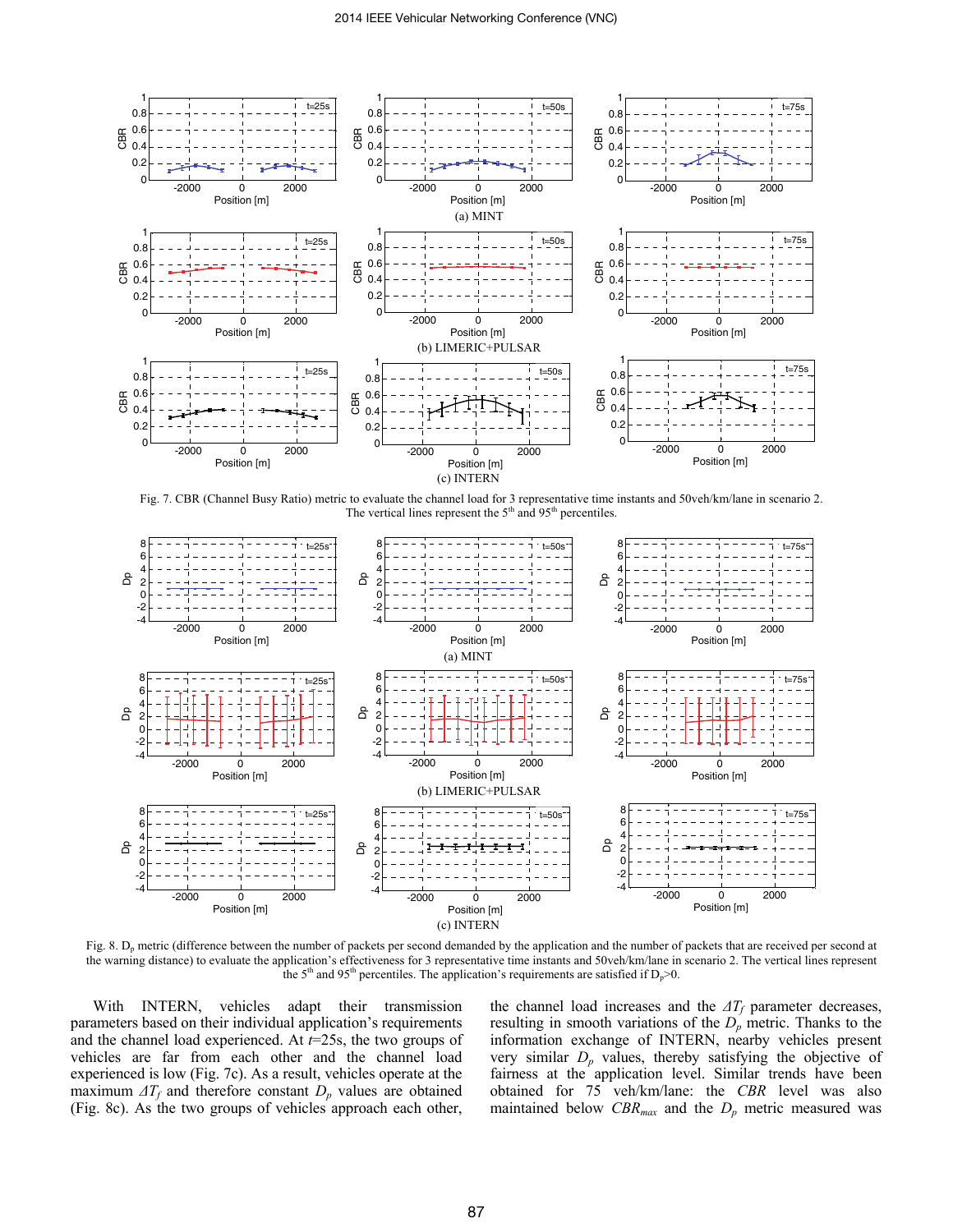

Fig. 7. CBR (Channel Busy Ratio) metric to evaluate the channel load for 3 representative time instants and 50veh/km/lane in scenario 2. The vertical lines represent the  $5<sup>th</sup>$  and  $95<sup>th</sup>$  percentiles.



Fig. 8. D<sub>p</sub> metric (difference between the number of packets per second demanded by the application and the number of packets that are received per second at the warning distance) to evaluate the application's effectiveness for 3 representative time instants and 50veh/km/lane in scenario 2. The vertical lines represent the 5<sup>th</sup> and 95<sup>th</sup> percentiles. The application's requirements are satisfied if  $D_p$ >0.

With INTERN, vehicles adapt their transmission parameters based on their individual application's requirements and the channel load experienced. At *t*=25s, the two groups of vehicles are far from each other and the channel load experienced is low (Fig. 7c). As a result, vehicles operate at the maximum  $\Delta T_f$  and therefore constant  $D_p$  values are obtained (Fig. 8c). As the two groups of vehicles approach each other, the channel load increases and the  $\Delta T_f$  parameter decreases, resulting in smooth variations of the  $D_p$  metric. Thanks to the information exchange of INTERN, nearby vehicles present very similar *Dp* values, thereby satisfying the objective of fairness at the application level. Similar trends have been obtained for 75 veh/km/lane: the *CBR* level was also maintained below  $CBR_{max}$  and the  $D_p$  metric measured was